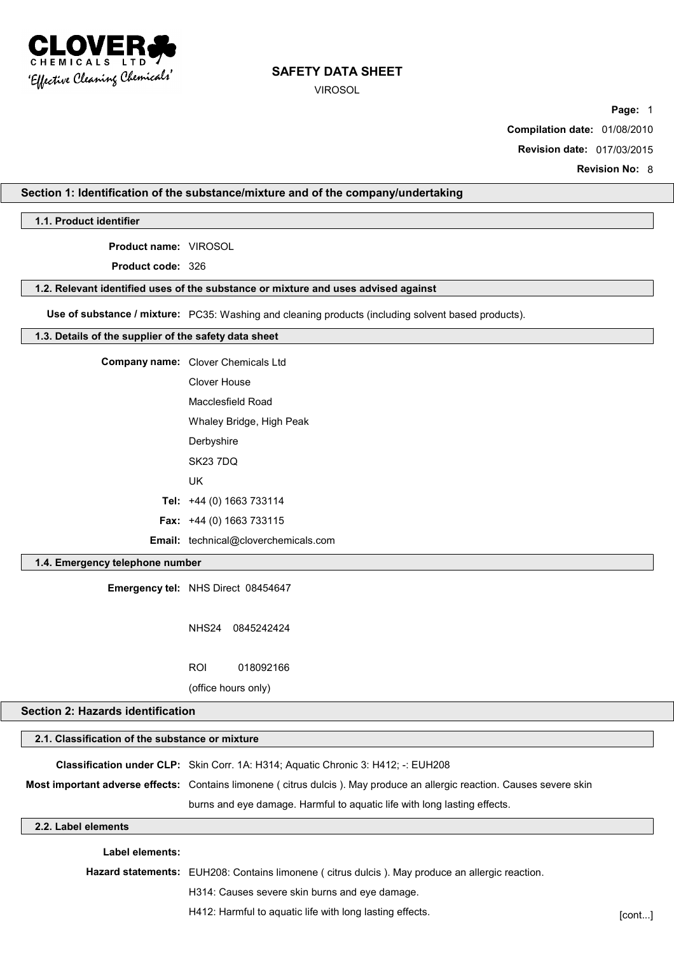

VIROSOL

**Page:** 1

**Compilation date:** 01/08/2010

**Revision date:** 017/03/2015

**Revision No:** 8

## **Section 1: Identification of the substance/mixture and of the company/undertaking**

**1.1. Product identifier**

**Product name:** VIROSOL

**Product code:** 326

#### **1.2. Relevant identified uses of the substance or mixture and uses advised against**

**Use of substance / mixture:** PC35: Washing and cleaning products (including solvent based products).

#### **1.3. Details of the supplier of the safety data sheet**

| <b>Company name:</b> Clover Chemicals Ltd   |
|---------------------------------------------|
| Clover House                                |
| Macclesfield Road                           |
| Whaley Bridge, High Peak                    |
| Derbyshire                                  |
| <b>SK23 7DQ</b>                             |
| UK                                          |
| Tel: +44 (0) 1663 733114                    |
| <b>Fax:</b> $+44$ (0) 1663 733115           |
| <b>Email:</b> technical@cloverchemicals.com |

### **1.4. Emergency telephone number**

**Emergency tel:** NHS Direct 08454647

NHS24 0845242424

ROI 018092166

(office hours only)

## **Section 2: Hazards identification**

| 2.1. Classification of the substance or mixture |                                                                                                                         |
|-------------------------------------------------|-------------------------------------------------------------------------------------------------------------------------|
|                                                 | <b>Classification under CLP:</b> Skin Corr. 1A: H314; Aquatic Chronic 3: H412; -: EUH208                                |
|                                                 | Most important adverse effects: Contains limonene (citrus dulcis). May produce an allergic reaction. Causes severe skin |
|                                                 | burns and eye damage. Harmful to aquatic life with long lasting effects.                                                |
| 2.2. Label elements                             |                                                                                                                         |
| _abel elements:                                 |                                                                                                                         |

**Hazard statements:** EUH208: Contains limonene ( citrus dulcis ). May produce an allergic reaction. H314: Causes severe skin burns and eye damage. H412: Harmful to aquatic life with long lasting effects. The state of the state of cont...]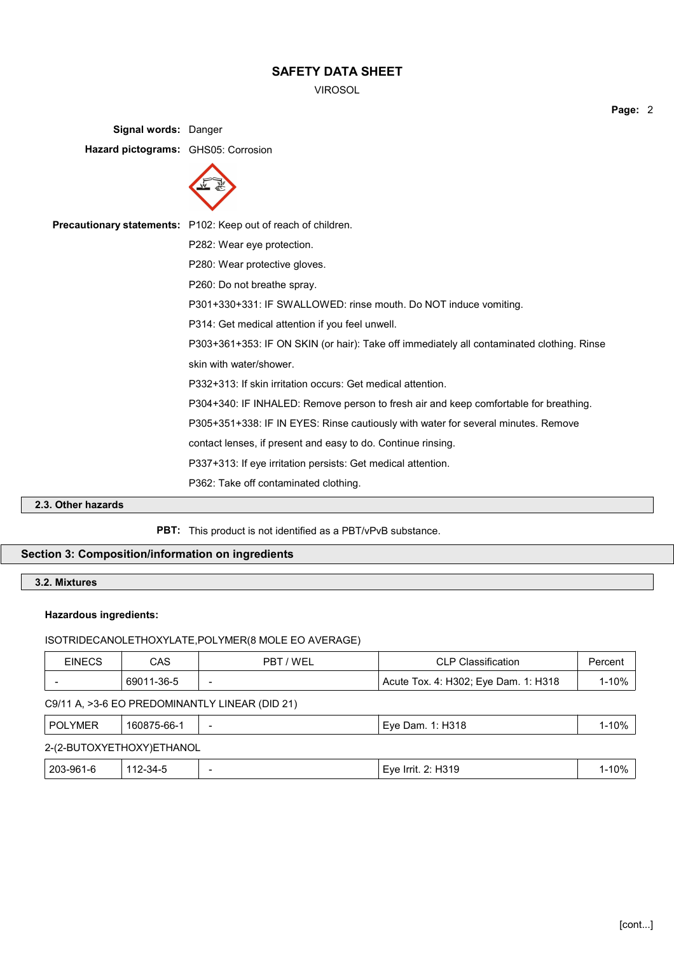VIROSOL

**Signal words:** Danger **Hazard pictograms:** GHS05: Corrosion



| <b>Precautionary statements:</b> P102: Keep out of reach of children.                     |
|-------------------------------------------------------------------------------------------|
| P282: Wear eye protection.                                                                |
| P280: Wear protective gloves.                                                             |
| P260: Do not breathe spray.                                                               |
| P301+330+331: IF SWALLOWED: rinse mouth. Do NOT induce vomiting.                          |
| P314: Get medical attention if you feel unwell.                                           |
| P303+361+353: IF ON SKIN (or hair): Take off immediately all contaminated clothing. Rinse |
| skin with water/shower.                                                                   |
| P332+313: If skin irritation occurs: Get medical attention.                               |
| P304+340: IF INHALED: Remove person to fresh air and keep comfortable for breathing.      |
| P305+351+338: IF IN EYES: Rinse cautiously with water for several minutes. Remove         |
| contact lenses, if present and easy to do. Continue rinsing.                              |
| P337+313: If eye irritation persists: Get medical attention.                              |
| P362: Take off contaminated clothing.                                                     |
|                                                                                           |

# **2.3. Other hazards**

**PBT:** This product is not identified as a PBT/vPvB substance.

## **Section 3: Composition/information on ingredients**

## **3.2. Mixtures**

## **Hazardous ingredients:**

## ISOTRIDECANOLETHOXYLATE,POLYMER(8 MOLE EO AVERAGE)

| EINECS | CAS        | / WEL<br>PRT             | CLP Classification                   | Percent |
|--------|------------|--------------------------|--------------------------------------|---------|
|        | 69011-36-5 | $\overline{\phantom{a}}$ | Acute Tox. 4: H302; Eye Dam. 1: H318 | 10%     |

## C9/11 A, >3-6 EO PREDOMINANTLY LINEAR (DID 21)

| POLYMER   | 160875-66-1               | -                        | Eye Dam. 1: H318                | 1-10% |
|-----------|---------------------------|--------------------------|---------------------------------|-------|
|           | 2-(2-BUTOXYETHOXY)ETHANOL |                          |                                 |       |
| 203-961-6 | 112-34-5                  | $\overline{\phantom{0}}$ | <sup>⊦</sup> Eve Irrit. 2: H319 | 1-10% |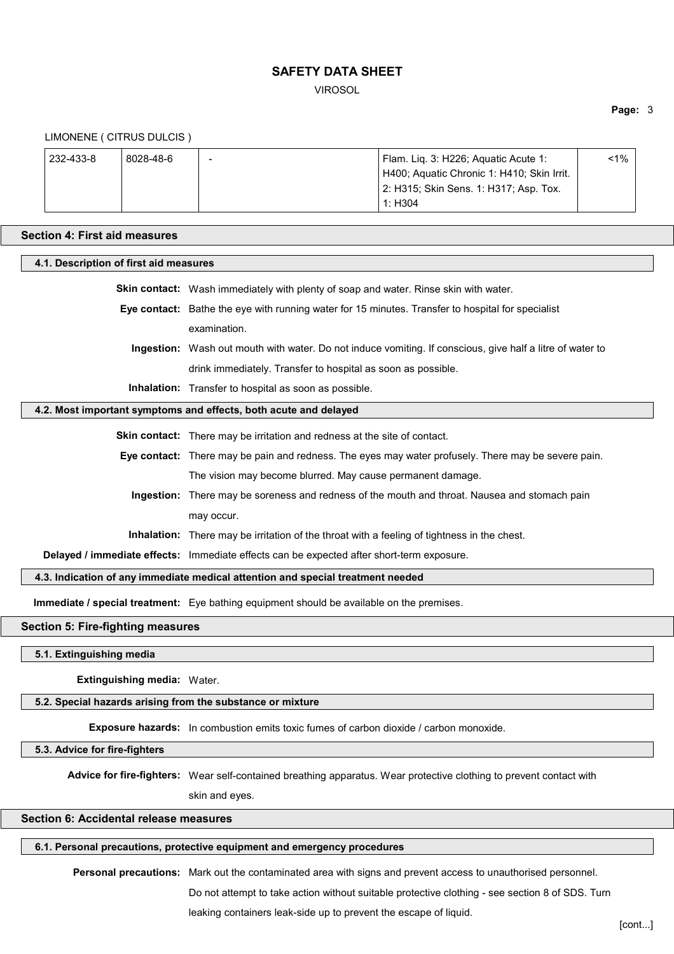VIROSOL

**Page:** 3

#### LIMONENE ( CITRUS DULCIS )

| 232-433-8 | 8028-48-6 | $\overline{\phantom{0}}$ | Flam. Lig. 3: H226; Aguatic Acute 1:       | $< 1\%$ |  |
|-----------|-----------|--------------------------|--------------------------------------------|---------|--|
|           |           |                          | H400; Aquatic Chronic 1: H410; Skin Irrit. |         |  |
|           |           |                          | 2: H315; Skin Sens. 1: H317; Asp. Tox.     |         |  |
|           |           |                          | 1: H304                                    |         |  |

#### **Section 4: First aid measures**

| 4.1. Description of first aid measures   |                                                                                                           |  |  |
|------------------------------------------|-----------------------------------------------------------------------------------------------------------|--|--|
|                                          | <b>Skin contact:</b> Wash immediately with plenty of soap and water. Rinse skin with water.               |  |  |
|                                          | Eye contact: Bathe the eye with running water for 15 minutes. Transfer to hospital for specialist         |  |  |
|                                          | examination.                                                                                              |  |  |
|                                          | Ingestion: Wash out mouth with water. Do not induce vomiting. If conscious, give half a litre of water to |  |  |
|                                          | drink immediately. Transfer to hospital as soon as possible.                                              |  |  |
|                                          | <b>Inhalation:</b> Transfer to hospital as soon as possible.                                              |  |  |
|                                          | 4.2. Most important symptoms and effects, both acute and delayed                                          |  |  |
|                                          | <b>Skin contact:</b> There may be irritation and redness at the site of contact.                          |  |  |
|                                          | Eye contact: There may be pain and redness. The eyes may water profusely. There may be severe pain.       |  |  |
|                                          | The vision may become blurred. May cause permanent damage.                                                |  |  |
|                                          | Ingestion: There may be soreness and redness of the mouth and throat. Nausea and stomach pain             |  |  |
|                                          | may occur.                                                                                                |  |  |
|                                          | <b>Inhalation:</b> There may be irritation of the throat with a feeling of tightness in the chest.        |  |  |
|                                          | Delayed / immediate effects: Immediate effects can be expected after short-term exposure.                 |  |  |
|                                          | 4.3. Indication of any immediate medical attention and special treatment needed                           |  |  |
|                                          | <b>Immediate / special treatment:</b> Eye bathing equipment should be available on the premises.          |  |  |
| <b>Section 5: Fire-fighting measures</b> |                                                                                                           |  |  |

**5.1. Extinguishing media**

**Extinguishing media:** Water.

**5.2. Special hazards arising from the substance or mixture**

**Exposure hazards:** In combustion emits toxic fumes of carbon dioxide / carbon monoxide.

**5.3. Advice for fire-fighters**

**Advice for fire-fighters:** Wear self-contained breathing apparatus. Wear protective clothing to prevent contact with

skin and eyes.

# **Section 6: Accidental release measures**

## **6.1. Personal precautions, protective equipment and emergency procedures**

**Personal precautions:** Mark out the contaminated area with signs and prevent access to unauthorised personnel. Do not attempt to take action without suitable protective clothing - see section 8 of SDS. Turn

leaking containers leak-side up to prevent the escape of liquid.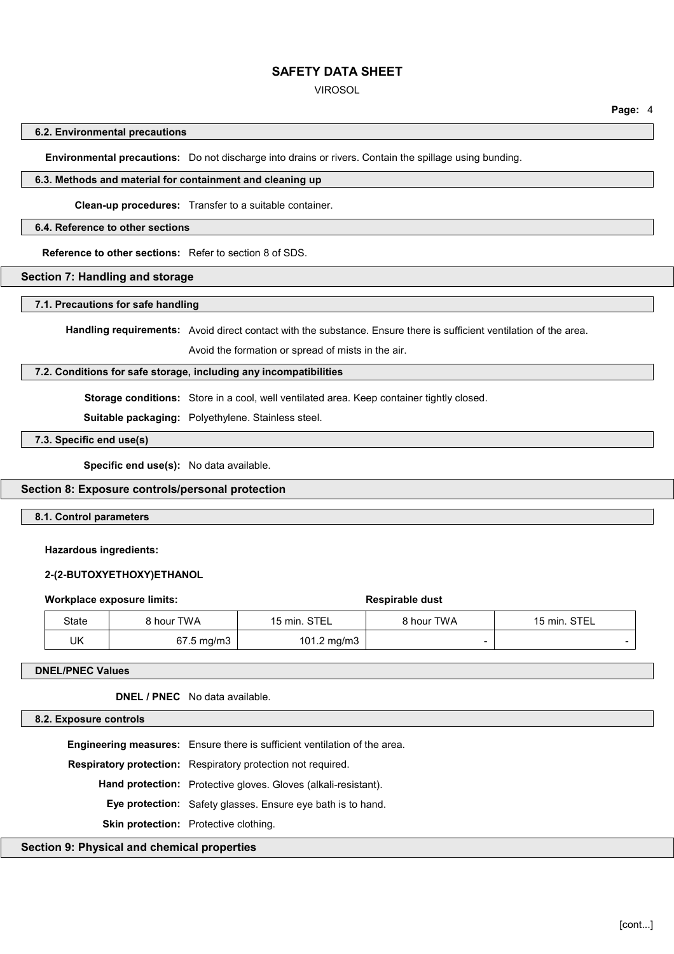#### VIROSOL

#### **6.2. Environmental precautions**

**Environmental precautions:** Do not discharge into drains or rivers. Contain the spillage using bunding.

## **6.3. Methods and material for containment and cleaning up**

**Clean-up procedures:** Transfer to a suitable container.

#### **6.4. Reference to other sections**

**Reference to other sections:** Refer to section 8 of SDS.

### **Section 7: Handling and storage**

#### **7.1. Precautions for safe handling**

**Handling requirements:** Avoid direct contact with the substance. Ensure there is sufficient ventilation of the area.

Avoid the formation or spread of mists in the air.

### **7.2. Conditions for safe storage, including any incompatibilities**

**Storage conditions:** Store in a cool, well ventilated area. Keep container tightly closed.

**Suitable packaging:** Polyethylene. Stainless steel.

## **7.3. Specific end use(s)**

**Specific end use(s):** No data available.

### **Section 8: Exposure controls/personal protection**

### **8.1. Control parameters**

#### **Hazardous ingredients:**

#### **2-(2-BUTOXYETHOXY)ETHANOL**

#### **Workplace exposure limits: Respirable dust Respirable dust**

State 8 hour TWA 15 min. STEL 8 hour TWA 15 min. STEL UK | 67.5 mg/m3 | 101.2 mg/m3 | -

#### **DNEL/PNEC Values**

**DNEL / PNEC** No data available.

#### **8.2. Exposure controls**

**Engineering measures:** Ensure there is sufficient ventilation of the area.

**Respiratory protection:** Respiratory protection not required.

**Hand protection:** Protective gloves. Gloves (alkali-resistant).

**Eye protection:** Safety glasses. Ensure eye bath is to hand.

**Skin protection:** Protective clothing.

### **Section 9: Physical and chemical properties**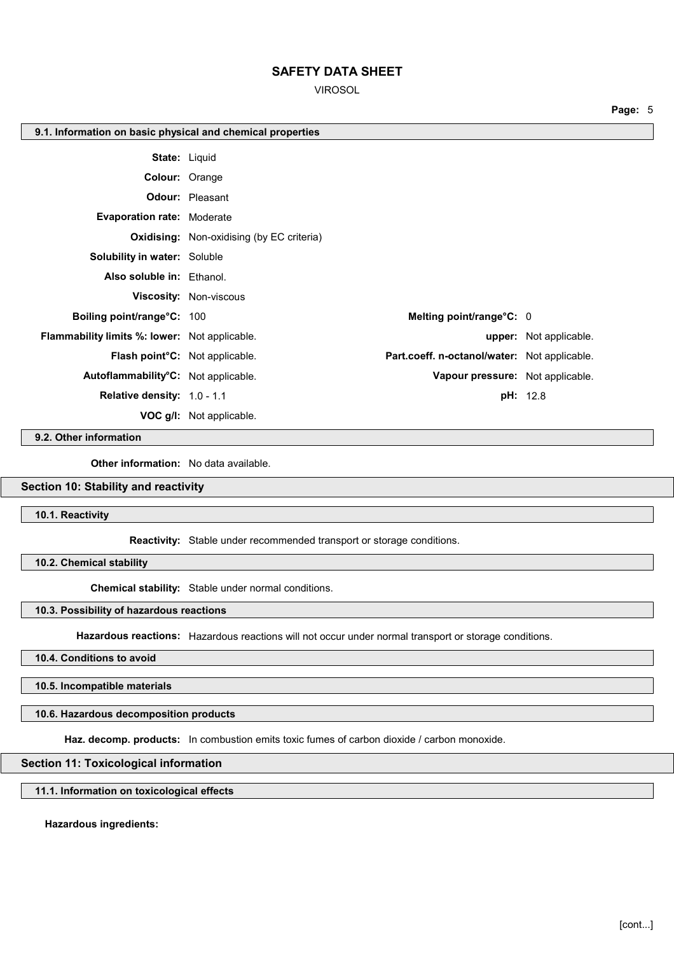VIROSOL

| 9.1. Information on basic physical and chemical properties |                                                  |                                              |                               |
|------------------------------------------------------------|--------------------------------------------------|----------------------------------------------|-------------------------------|
| <b>State: Liquid</b>                                       |                                                  |                                              |                               |
| Colour: Orange                                             |                                                  |                                              |                               |
|                                                            | <b>Odour:</b> Pleasant                           |                                              |                               |
| <b>Evaporation rate: Moderate</b>                          |                                                  |                                              |                               |
|                                                            | <b>Oxidising:</b> Non-oxidising (by EC criteria) |                                              |                               |
| <b>Solubility in water: Soluble</b>                        |                                                  |                                              |                               |
| Also soluble in: Ethanol.                                  |                                                  |                                              |                               |
|                                                            | <b>Viscosity: Non-viscous</b>                    |                                              |                               |
| Boiling point/range°C: 100                                 |                                                  | Melting point/range°C: 0                     |                               |
| <b>Flammability limits %: lower:</b> Not applicable.       |                                                  |                                              | <b>upper:</b> Not applicable. |
| Flash point <sup>o</sup> C: Not applicable.                |                                                  | Part.coeff. n-octanol/water: Not applicable. |                               |
| Autoflammability <sup>°</sup> C: Not applicable.           |                                                  | Vapour pressure: Not applicable.             |                               |
| Relative density: 1.0 - 1.1                                |                                                  |                                              | <b>pH:</b> 12.8               |
|                                                            | <b>VOC g/l:</b> Not applicable.                  |                                              |                               |

#### **9.2. Other information**

**Other information:** No data available.

### **Section 10: Stability and reactivity**

**10.1. Reactivity**

**Reactivity:** Stable under recommended transport or storage conditions.

**10.2. Chemical stability**

**Chemical stability:** Stable under normal conditions.

**10.3. Possibility of hazardous reactions**

**Hazardous reactions:** Hazardous reactions will not occur under normal transport or storage conditions.

**10.4. Conditions to avoid**

**10.5. Incompatible materials**

**10.6. Hazardous decomposition products**

**Haz. decomp. products:** In combustion emits toxic fumes of carbon dioxide / carbon monoxide.

### **Section 11: Toxicological information**

**11.1. Information on toxicological effects**

**Hazardous ingredients:**

**Page:** 5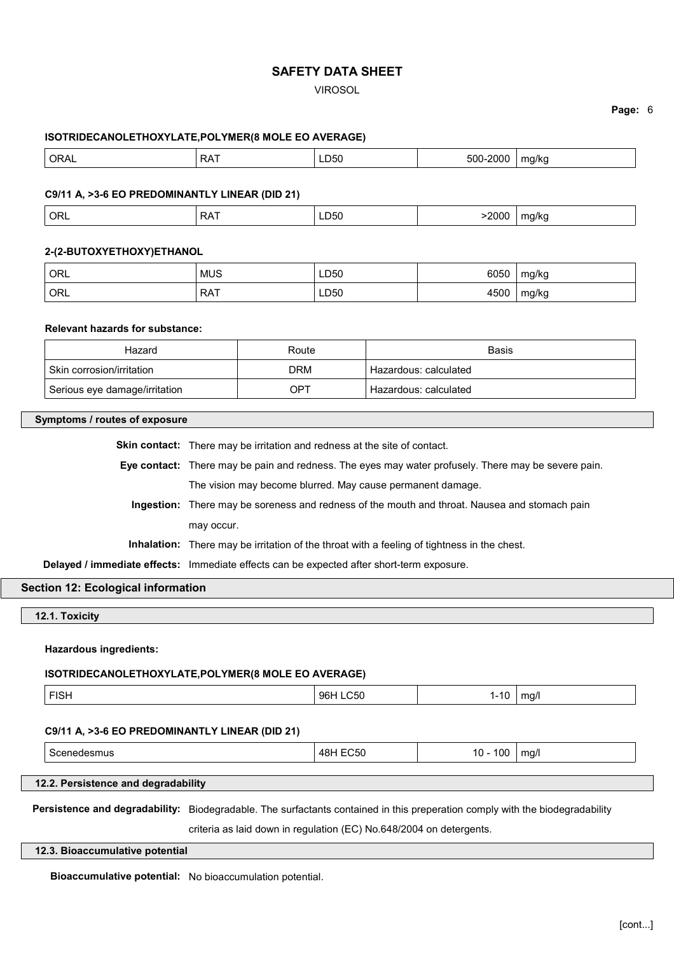### VIROSOL

### **Page:** 6

#### **ISOTRIDECANOLETHOXYLATE,POLYMER(8 MOLE EO AVERAGE)**

| ORAL | −∧ ص<br>∼ | ∟D50<br>___ | 2000<br>-00<br>וו ור:<br>. | ma/ka |
|------|-----------|-------------|----------------------------|-------|
|      |           |             |                            |       |

#### **C9/11 A, >3-6 EO PREDOMINANTLY LINEAR (DID 21)**

|  | ORL <sup>'</sup> | DAT<br>N | LD50 | ----<br>,,,,,<br>. | 47 N.C<br>. . |
|--|------------------|----------|------|--------------------|---------------|
|--|------------------|----------|------|--------------------|---------------|

### **2-(2-BUTOXYETHOXY)ETHANOL**

| ORL <sup>'</sup> | <b>MUS</b> | LD50         | 6050 | mg/kg |
|------------------|------------|--------------|------|-------|
| ORL <sup>'</sup> | <b>RAT</b> | LD50<br>$ -$ | 4500 | mg/kg |

## **Relevant hazards for substance:**

| Hazard                        | Route | <b>Basis</b>            |
|-------------------------------|-------|-------------------------|
| Skin corrosion/irritation     | DRM   | ' Hazardous: calculated |
| Serious eye damage/irritation | OPT   | ' Hazardous: calculated |

### **Symptoms / routes of exposure**

| <b>Skin contact:</b> There may be irritation and redness at the site of contact.                    |
|-----------------------------------------------------------------------------------------------------|
| Eye contact: There may be pain and redness. The eyes may water profusely. There may be severe pain. |
| The vision may become blurred. May cause permanent damage.                                          |
| Ingestion: There may be soreness and redness of the mouth and throat. Nausea and stomach pain       |
| may occur.                                                                                          |
| <b>Inhalation:</b> There may be irritation of the throat with a feeling of tightness in the chest.  |
| Delayed / immediate effects: Immediate effects can be expected after short-term exposure.           |

## **Section 12: Ecological information**

**12.1. Toxicity**

#### **Hazardous ingredients:**

#### **ISOTRIDECANOLETHOXYLATE,POLYMER(8 MOLE EO AVERAGE)**

| FISH<br>96H<br>$\_C50$<br>1 C<br>ma/<br>. .<br>ιu |
|---------------------------------------------------|
|---------------------------------------------------|

#### **C9/11 A, >3-6 EO PREDOMINANTLY LINEAR (DID 21)**

| $\sim$<br>10<br>. <b>AD</b><br>ma/<br>n.<br>$\cdots$<br>___<br>.<br>$ -$<br>. . |
|---------------------------------------------------------------------------------|
|---------------------------------------------------------------------------------|

### **12.2. Persistence and degradability**

**Persistence and degradability:** Biodegradable. The surfactants contained in this preperation comply with the biodegradability

criteria as laid down in regulation (EC) No.648/2004 on detergents.

### **12.3. Bioaccumulative potential**

**Bioaccumulative potential:** No bioaccumulation potential.